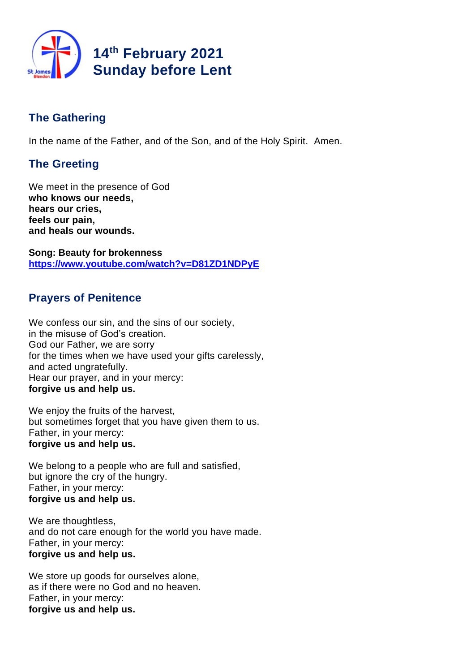

# **The Gathering**

In the name of the Father, and of the Son, and of the Holy Spirit. Amen.

# **The Greeting**

We meet in the presence of God **who knows our needs, hears our cries, feels our pain, and heals our wounds.**

**Song: Beauty for brokenness https://www.youtube.com/watch?v=D81ZD1NDPyE**

## **Prayers of Penitence**

We confess our sin, and the sins of our society, in the misuse of God's creation. God our Father, we are sorry for the times when we have used your gifts carelessly, and acted ungratefully. Hear our prayer, and in your mercy: **forgive us and help us.**

We enjoy the fruits of the harvest, but sometimes forget that you have given them to us. Father, in your mercy: **forgive us and help us.**

We belong to a people who are full and satisfied, but ignore the cry of the hungry. Father, in your mercy: **forgive us and help us.**

We are thoughtless, and do not care enough for the world you have made. Father, in your mercy: **forgive us and help us.**

We store up goods for ourselves alone, as if there were no God and no heaven. Father, in your mercy: **forgive us and help us.**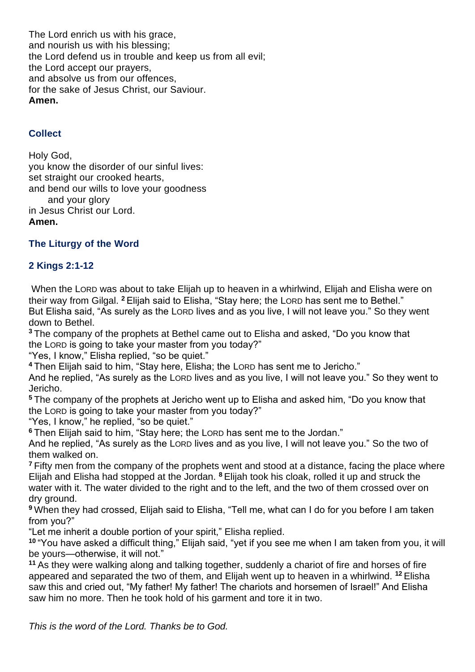The Lord enrich us with his grace, and nourish us with his blessing; the Lord defend us in trouble and keep us from all evil; the Lord accept our prayers, and absolve us from our offences, for the sake of Jesus Christ, our Saviour. **Amen.**

## **Collect**

Holy God, you know the disorder of our sinful lives: set straight our crooked hearts, and bend our wills to love your goodness and your glory in Jesus Christ our Lord. **Amen.**

## **The Liturgy of the Word**

## **2 Kings 2:1-12**

When the LORD was about to take Elijah up to heaven in a whirlwind, Elijah and Elisha were on their way from Gilgal. **<sup>2</sup>** Elijah said to Elisha, "Stay here; the LORD has sent me to Bethel." But Elisha said, "As surely as the LORD lives and as you live, I will not leave you." So they went down to Bethel.

**<sup>3</sup>** The company of the prophets at Bethel came out to Elisha and asked, "Do you know that the LORD is going to take your master from you today?"

"Yes, I know," Elisha replied, "so be quiet."

**<sup>4</sup>** Then Elijah said to him, "Stay here, Elisha; the LORD has sent me to Jericho."

And he replied, "As surely as the LORD lives and as you live, I will not leave you." So they went to Jericho.

**<sup>5</sup>** The company of the prophets at Jericho went up to Elisha and asked him, "Do you know that the LORD is going to take your master from you today?"

"Yes, I know," he replied, "so be quiet."

**<sup>6</sup>** Then Elijah said to him, "Stay here; the LORD has sent me to the Jordan."

And he replied, "As surely as the LORD lives and as you live, I will not leave you." So the two of them walked on.

**<sup>7</sup>** Fifty men from the company of the prophets went and stood at a distance, facing the place where Elijah and Elisha had stopped at the Jordan. **<sup>8</sup>** Elijah took his cloak, rolled it up and struck the water with it. The water divided to the right and to the left, and the two of them crossed over on dry ground.

**<sup>9</sup>** When they had crossed, Elijah said to Elisha, "Tell me, what can I do for you before I am taken from you?"

"Let me inherit a double portion of your spirit," Elisha replied.

**<sup>10</sup>** "You have asked a difficult thing," Elijah said, "yet if you see me when I am taken from you, it will be yours—otherwise, it will not."

**<sup>11</sup>** As they were walking along and talking together, suddenly a chariot of fire and horses of fire appeared and separated the two of them, and Elijah went up to heaven in a whirlwind. **<sup>12</sup>** Elisha saw this and cried out, "My father! My father! The chariots and horsemen of Israel!" And Elisha saw him no more. Then he took hold of his garment and tore it in two.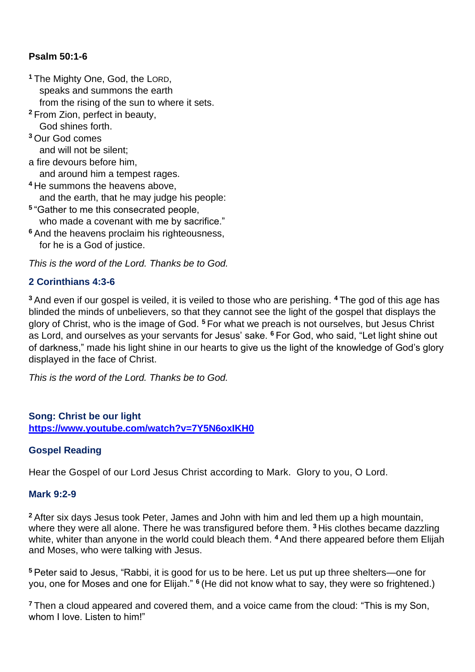## **Psalm 50:1-6**

**<sup>1</sup>** The Mighty One, God, the LORD, speaks and summons the earth from the rising of the sun to where it sets. **<sup>2</sup>** From Zion, perfect in beauty, God shines forth. **<sup>3</sup>** Our God comes and will not be silent; a fire devours before him, and around him a tempest rages. **<sup>4</sup>** He summons the heavens above, and the earth, that he may judge his people: **5** "Gather to me this consecrated people, who made a covenant with me by sacrifice." **<sup>6</sup>** And the heavens proclaim his righteousness, for he is a God of justice.

*This is the word of the Lord. Thanks be to God.*

## **2 Corinthians 4:3-6**

**<sup>3</sup>** And even if our gospel is veiled, it is veiled to those who are perishing. **<sup>4</sup>** The god of this age has blinded the minds of unbelievers, so that they cannot see the light of the gospel that displays the glory of Christ, who is the image of God. **<sup>5</sup>** For what we preach is not ourselves, but Jesus Christ as Lord, and ourselves as your servants for Jesus' sake. **<sup>6</sup>** For God, who said, "Let light shine out of darkness," made his light shine in our hearts to give us the light of the knowledge of God's glory displayed in the face of Christ.

*This is the word of the Lord. Thanks be to God.* 

### **Song: Christ be our light https://www.youtube.com/watch?v=7Y5N6oxIKH0**

## **Gospel Reading**

Hear the Gospel of our Lord Jesus Christ according to Mark. Glory to you, O Lord.

### **Mark 9:2-9**

**<sup>2</sup>** After six days Jesus took Peter, James and John with him and led them up a high mountain, where they were all alone. There he was transfigured before them. **<sup>3</sup>** His clothes became dazzling white, whiter than anyone in the world could bleach them. <sup>4</sup> And there appeared before them Elijah and Moses, who were talking with Jesus.

**<sup>5</sup>** Peter said to Jesus, "Rabbi, it is good for us to be here. Let us put up three shelters—one for you, one for Moses and one for Elijah." **<sup>6</sup>** (He did not know what to say, they were so frightened.)

**<sup>7</sup>** Then a cloud appeared and covered them, and a voice came from the cloud: "This is my Son, whom I love. Listen to him!"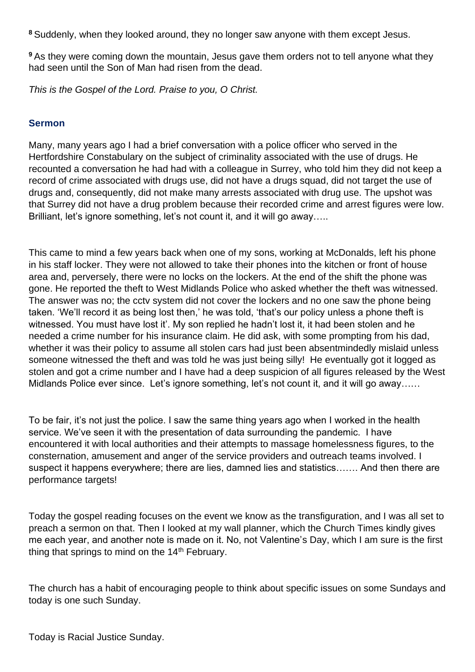**<sup>8</sup>** Suddenly, when they looked around, they no longer saw anyone with them except Jesus.

**<sup>9</sup>** As they were coming down the mountain, Jesus gave them orders not to tell anyone what they had seen until the Son of Man had risen from the dead.

*This is the Gospel of the Lord. Praise to you, O Christ.*

### **Sermon**

Many, many years ago I had a brief conversation with a police officer who served in the Hertfordshire Constabulary on the subject of criminality associated with the use of drugs. He recounted a conversation he had had with a colleague in Surrey, who told him they did not keep a record of crime associated with drugs use, did not have a drugs squad, did not target the use of drugs and, consequently, did not make many arrests associated with drug use. The upshot was that Surrey did not have a drug problem because their recorded crime and arrest figures were low. Brilliant, let's ignore something, let's not count it, and it will go away…..

This came to mind a few years back when one of my sons, working at McDonalds, left his phone in his staff locker. They were not allowed to take their phones into the kitchen or front of house area and, perversely, there were no locks on the lockers. At the end of the shift the phone was gone. He reported the theft to West Midlands Police who asked whether the theft was witnessed. The answer was no; the cctv system did not cover the lockers and no one saw the phone being taken. 'We'll record it as being lost then,' he was told, 'that's our policy unless a phone theft is witnessed. You must have lost it'. My son replied he hadn't lost it, it had been stolen and he needed a crime number for his insurance claim. He did ask, with some prompting from his dad, whether it was their policy to assume all stolen cars had just been absentmindedly mislaid unless someone witnessed the theft and was told he was just being silly! He eventually got it logged as stolen and got a crime number and I have had a deep suspicion of all figures released by the West Midlands Police ever since. Let's ignore something, let's not count it, and it will go away......

To be fair, it's not just the police. I saw the same thing years ago when I worked in the health service. We've seen it with the presentation of data surrounding the pandemic. I have encountered it with local authorities and their attempts to massage homelessness figures, to the consternation, amusement and anger of the service providers and outreach teams involved. I suspect it happens everywhere; there are lies, damned lies and statistics……. And then there are performance targets!

Today the gospel reading focuses on the event we know as the transfiguration, and I was all set to preach a sermon on that. Then I looked at my wall planner, which the Church Times kindly gives me each year, and another note is made on it. No, not Valentine's Day, which I am sure is the first thing that springs to mind on the  $14<sup>th</sup>$  February.

The church has a habit of encouraging people to think about specific issues on some Sundays and today is one such Sunday.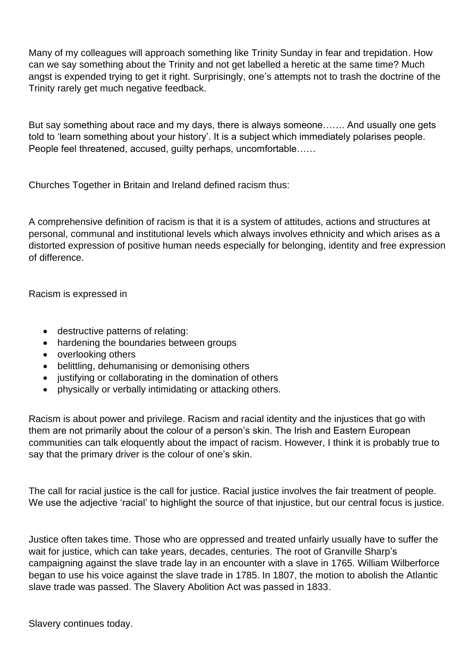Many of my colleagues will approach something like Trinity Sunday in fear and trepidation. How can we say something about the Trinity and not get labelled a heretic at the same time? Much angst is expended trying to get it right. Surprisingly, one's attempts not to trash the doctrine of the Trinity rarely get much negative feedback.

But say something about race and my days, there is always someone……. And usually one gets told to 'learn something about your history'. It is a subject which immediately polarises people. People feel threatened, accused, guilty perhaps, uncomfortable……

Churches Together in Britain and Ireland defined racism thus:

A comprehensive definition of racism is that it is a system of attitudes, actions and structures at personal, communal and institutional levels which always involves ethnicity and which arises as a distorted expression of positive human needs especially for belonging, identity and free expression of difference.

Racism is expressed in

- destructive patterns of relating:
- hardening the boundaries between groups
- overlooking others
- belittling, dehumanising or demonising others
- justifying or collaborating in the domination of others
- physically or verbally intimidating or attacking others.

Racism is about power and privilege. Racism and racial identity and the injustices that go with them are not primarily about the colour of a person's skin. The Irish and Eastern European communities can talk eloquently about the impact of racism. However, I think it is probably true to say that the primary driver is the colour of one's skin.

The call for racial justice is the call for justice. Racial justice involves the fair treatment of people. We use the adjective 'racial' to highlight the source of that injustice, but our central focus is justice.

Justice often takes time. Those who are oppressed and treated unfairly usually have to suffer the wait for justice, which can take years, decades, centuries. The root of Granville Sharp's campaigning against the slave trade lay in an encounter with a slave in 1765. William Wilberforce began to use his voice against the slave trade in 1785. In 1807, the motion to abolish the Atlantic slave trade was passed. The Slavery Abolition Act was passed in 1833.

Slavery continues today.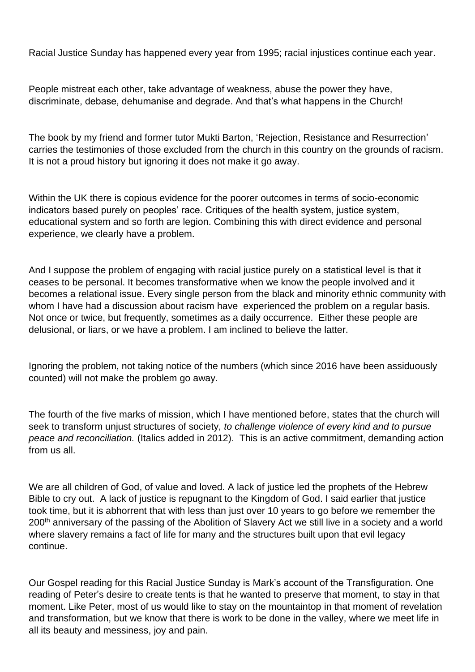Racial Justice Sunday has happened every year from 1995; racial injustices continue each year.

People mistreat each other, take advantage of weakness, abuse the power they have, discriminate, debase, dehumanise and degrade. And that's what happens in the Church!

The book by my friend and former tutor Mukti Barton, 'Rejection, Resistance and Resurrection' carries the testimonies of those excluded from the church in this country on the grounds of racism. It is not a proud history but ignoring it does not make it go away.

Within the UK there is copious evidence for the poorer outcomes in terms of socio-economic indicators based purely on peoples' race. Critiques of the health system, justice system, educational system and so forth are legion. Combining this with direct evidence and personal experience, we clearly have a problem.

And I suppose the problem of engaging with racial justice purely on a statistical level is that it ceases to be personal. It becomes transformative when we know the people involved and it becomes a relational issue. Every single person from the black and minority ethnic community with whom I have had a discussion about racism have experienced the problem on a regular basis. Not once or twice, but frequently, sometimes as a daily occurrence. Either these people are delusional, or liars, or we have a problem. I am inclined to believe the latter.

Ignoring the problem, not taking notice of the numbers (which since 2016 have been assiduously counted) will not make the problem go away.

The fourth of the five marks of mission, which I have mentioned before, states that the church will seek to transform unjust structures of society, *to challenge violence of every kind and to pursue peace and reconciliation.* (Italics added in 2012). This is an active commitment, demanding action from us all.

We are all children of God, of value and loved. A lack of justice led the prophets of the Hebrew Bible to cry out. A lack of justice is repugnant to the Kingdom of God. I said earlier that justice took time, but it is abhorrent that with less than just over 10 years to go before we remember the 200<sup>th</sup> anniversary of the passing of the Abolition of Slavery Act we still live in a society and a world where slavery remains a fact of life for many and the structures built upon that evil legacy continue.

Our Gospel reading for this Racial Justice Sunday is Mark's account of the Transfiguration. One reading of Peter's desire to create tents is that he wanted to preserve that moment, to stay in that moment. Like Peter, most of us would like to stay on the mountaintop in that moment of revelation and transformation, but we know that there is work to be done in the valley, where we meet life in all its beauty and messiness, joy and pain.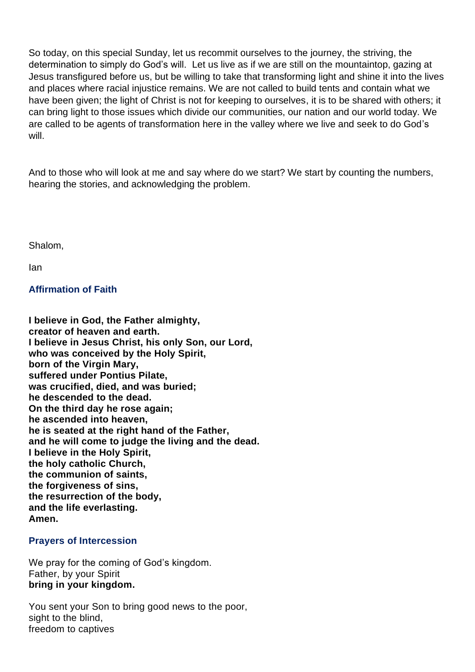So today, on this special Sunday, let us recommit ourselves to the journey, the striving, the determination to simply do God's will. Let us live as if we are still on the mountaintop, gazing at Jesus transfigured before us, but be willing to take that transforming light and shine it into the lives and places where racial injustice remains. We are not called to build tents and contain what we have been given; the light of Christ is not for keeping to ourselves, it is to be shared with others; it can bring light to those issues which divide our communities, our nation and our world today. We are called to be agents of transformation here in the valley where we live and seek to do God's will.

And to those who will look at me and say where do we start? We start by counting the numbers, hearing the stories, and acknowledging the problem.

Shalom,

Ian

**Affirmation of Faith**

**I believe in God, the Father almighty, creator of heaven and earth. I believe in Jesus Christ, his only Son, our Lord, who was conceived by the Holy Spirit, born of the Virgin Mary, suffered under Pontius Pilate, was crucified, died, and was buried; he descended to the dead. On the third day he rose again; he ascended into heaven, he is seated at the right hand of the Father, and he will come to judge the living and the dead. I believe in the Holy Spirit, the holy catholic Church, the communion of saints, the forgiveness of sins, the resurrection of the body, and the life everlasting. Amen.**

#### **Prayers of Intercession**

We pray for the coming of God's kingdom. Father, by your Spirit **bring in your kingdom.**

You sent your Son to bring good news to the poor, sight to the blind. freedom to captives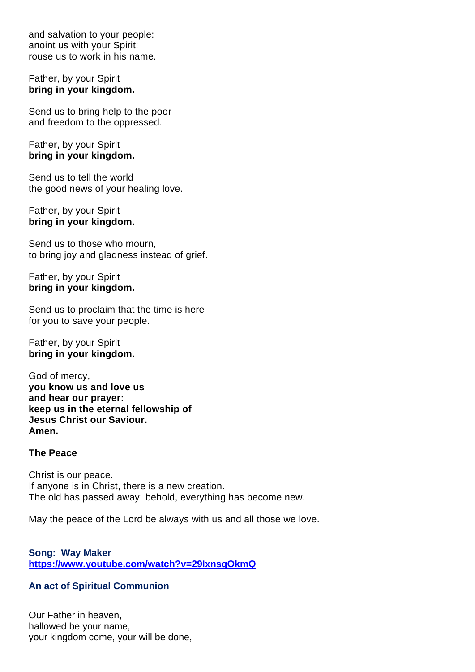and salvation to your people: anoint us with your Spirit; rouse us to work in his name.

#### Father, by your Spirit **bring in your kingdom.**

Send us to bring help to the poor and freedom to the oppressed.

#### Father, by your Spirit **bring in your kingdom.**

Send us to tell the world the good news of your healing love.

#### Father, by your Spirit **bring in your kingdom.**

Send us to those who mourn, to bring joy and gladness instead of grief.

Father, by your Spirit **bring in your kingdom.**

Send us to proclaim that the time is here for you to save your people.

Father, by your Spirit **bring in your kingdom.**

God of mercy, **you know us and love us and hear our prayer: keep us in the eternal fellowship of Jesus Christ our Saviour. Amen.**

#### **The Peace**

Christ is our peace. If anyone is in Christ, there is a new creation. The old has passed away: behold, everything has become new.

May the peace of the Lord be always with us and all those we love.

**Song: Way Maker https://www.youtube.com/watch?v=29IxnsqOkmQ**

#### **An act of Spiritual Communion**

Our Father in heaven, hallowed be your name, your kingdom come, your will be done,